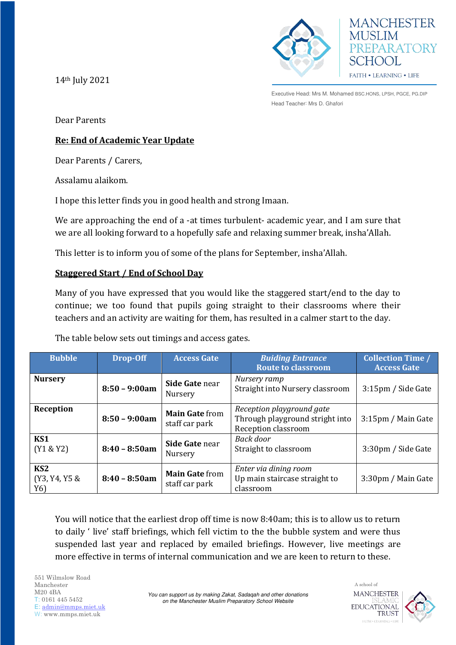



14th July 2021

Dear Parents

# **Re: End of Academic Year Update**

Dear Parents / Carers,

Assalamu alaikom.

I hope this letter finds you in good health and strong Imaan.

We are approaching the end of a -at times turbulent- academic year, and I am sure that we are all looking forward to a hopefully safe and relaxing summer break, insha'Allah.

This letter is to inform you of some of the plans for September, insha'Allah.

# **Staggered Start / End of School Day**

Many of you have expressed that you would like the staggered start/end to the day to continue; we too found that pupils going straight to their classrooms where their teachers and an activity are waiting for them, has resulted in a calmer start to the day.

The table below sets out timings and access gates.

| <b>Bubble</b>                           | Drop-Off        | <b>Access Gate</b>                      | <b>Buiding Entrance</b><br><b>Route to classroom</b>                                | <b>Collection Time /</b><br><b>Access Gate</b> |
|-----------------------------------------|-----------------|-----------------------------------------|-------------------------------------------------------------------------------------|------------------------------------------------|
| <b>Nursery</b>                          | $8:50 - 9:00am$ | Side Gate near<br>Nursery               | Nursery ramp<br>Straight into Nursery classroom                                     | 3:15pm / Side Gate                             |
| Reception                               | $8:50 - 9:00am$ | <b>Main Gate from</b><br>staff car park | Reception playground gate<br>Through playground stright into<br>Reception classroom | 3:15pm / Main Gate                             |
| KS1<br>(Y1 & 8Y2)                       | $8:40 - 8:50am$ | Side Gate near<br>Nursery               | Back door<br>Straight to classroom                                                  | 3:30pm / Side Gate                             |
| KS <sub>2</sub><br>(Y3, Y4, Y5 &<br>Y6) | $8:40 - 8:50am$ | <b>Main Gate from</b><br>staff car park | Enter via dining room<br>Up main staircase straight to<br>classroom                 | 3:30pm / Main Gate                             |

You will notice that the earliest drop off time is now 8:40am; this is to allow us to return to daily ' live' staff briefings, which fell victim to the the bubble system and were thus suspended last year and replaced by emailed briefings. However, live meetings are more effective in terms of internal communication and we are keen to return to these.

551 Wilmslow Road Manchester M20 4BA T: 0161 445 5452 E: [admin@mmps.miet.uk](mailto:admin@mmps.miet.uk) W: www.mmps.miet.uk



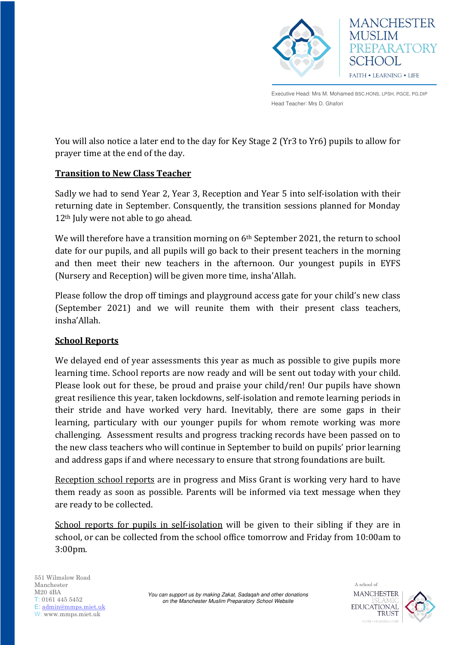

You will also notice a later end to the day for Key Stage 2 (Yr3 to Yr6) pupils to allow for prayer time at the end of the day.

# **Transition to New Class Teacher**

Sadly we had to send Year 2, Year 3, Reception and Year 5 into self-isolation with their returning date in September. Consquently, the transition sessions planned for Monday 12<sup>th</sup> July were not able to go ahead.

We will therefore have a transition morning on 6<sup>th</sup> September 2021, the return to school date for our pupils, and all pupils will go back to their present teachers in the morning and then meet their new teachers in the afternoon. Our youngest pupils in EYFS (Nursery and Reception) will be given more time, insha'Allah.

Please follow the drop off timings and playground access gate for your child's new class (September 2021) and we will reunite them with their present class teachers, insha'Allah.

#### **School Reports**

We delayed end of year assessments this year as much as possible to give pupils more learning time. School reports are now ready and will be sent out today with your child. Please look out for these, be proud and praise your child/ren! Our pupils have shown great resilience this year, taken lockdowns, self-isolation and remote learning periods in their stride and have worked very hard. Inevitably, there are some gaps in their learning, particulary with our younger pupils for whom remote working was more challenging. Assessment results and progress tracking records have been passed on to the new class teachers who will continue in September to build on pupils' prior learning and address gaps if and where necessary to ensure that strong foundations are built.

Reception school reports are in progress and Miss Grant is working very hard to have them ready as soon as possible. Parents will be informed via text message when they are ready to be collected.

School reports for pupils in self-isolation will be given to their sibling if they are in school, or can be collected from the school office tomorrow and Friday from 10:00am to 3:00pm.



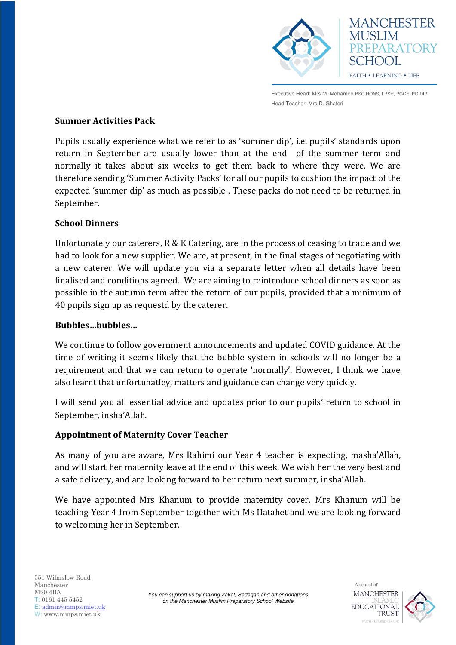

#### **Summer Activities Pack**

Pupils usually experience what we refer to as 'summer dip', i.e. pupils' standards upon return in September are usually lower than at the end of the summer term and normally it takes about six weeks to get them back to where they were. We are therefore sending 'Summer Activity Packs' for all our pupils to cushion the impact of the expected 'summer dip' as much as possible . These packs do not need to be returned in September.

### **School Dinners**

Unfortunately our caterers, R & K Catering, are in the process of ceasing to trade and we had to look for a new supplier. We are, at present, in the final stages of negotiating with a new caterer. We will update you via a separate letter when all details have been finalised and conditions agreed. We are aiming to reintroduce school dinners as soon as possible in the autumn term after the return of our pupils, provided that a minimum of 40 pupils sign up as requestd by the caterer.

#### **Bubbles…bubbles…**

We continue to follow government announcements and updated COVID guidance. At the time of writing it seems likely that the bubble system in schools will no longer be a requirement and that we can return to operate 'normally'. However, I think we have also learnt that unfortunatley, matters and guidance can change very quickly.

I will send you all essential advice and updates prior to our pupils' return to school in September, insha'Allah.

#### **Appointment of Maternity Cover Teacher**

As many of you are aware, Mrs Rahimi our Year 4 teacher is expecting, masha'Allah, and will start her maternity leave at the end of this week. We wish her the very best and a safe delivery, and are looking forward to her return next summer, insha'Allah.

We have appointed Mrs Khanum to provide maternity cover. Mrs Khanum will be teaching Year 4 from September together with Ms Hatahet and we are looking forward to welcoming her in September.